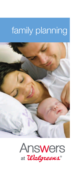## family planning



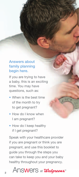#### Answers about family planning begin here.

If you are trying to have a baby, this is an exciting time. You may have questions, such as:

- When is the best time of the month to try to get pregnant?
- How do I know when I am pregnant?
- How do I keep healthy if I get pregnant?

Speak with your healthcare provider if you are pregnant or think you are pregnant, and use this booklet to guide you through the steps you can take to keep you and your baby healthy throughout your pregnancy.

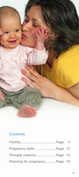

### **Contents**

| Pregnancy tests Page 12         |  |
|---------------------------------|--|
| Prenatal vitaminsPage 14        |  |
| Planning for pregnancy  Page 16 |  |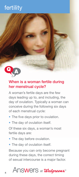## fertility



#### When is a woman fertile during her menstrual cycle?

A woman's fertile days are the few days leading up to, and including, the day of ovulation. Typically a woman can conceive during the following six days of each menstrual cycle:

- The five days prior to ovulation.
- The day of ovulation itself.

Of these six days, a woman's most fertile days are:

- The day before ovulation.
- The day of ovulation itself.

Because you can only become pregnant during these days, the correct timing of sexual intercourse is a major factor.

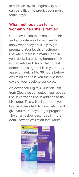In addition, cycle lengths vary so it can be difficult to predict your most fertile days.<sup>1</sup>

#### What methods can tell a woman when she is fertile?

Home ovulation tests are a popular and accurate way for women to know when they are likely to get pregnant. Your levels of estrogen rise when there is a mature egg in your body. Luteinizing hormone (LH) is then released. An ovulation test detects the surge of LH in your body approximately 24 to 36 hours before ovulation and tells you the two best days of your cycle to conceive.

An Advanced Digital Ovulation Test from Clearblue can detect your body's rise in estrogen rise in addition to the LH surge. This will tell you both your high and peak fertility days, which will give you more days to get pregnant. The chart below describes in more detail how an ovulation test works.<sup>2</sup>

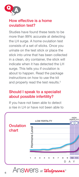

#### How effective is a home ovulation test?

Studies have found these tests to be more than 99% accurate at detecting the LH surge. A home ovulation test consists of a set of sticks. Once you urinate on the test stick or place the stick into urine that has been collected in a clean, dry container, the stick will indicate when it has detected the LH surge. This tells you if ovulation is about to happen. Read the package instructions on how to use the kit and properly read the test results.<sup>3</sup>

#### Should I speak to a specialist about possible infertility?

If you have not been able to detect a rise in LH or have not been able to

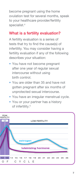become pregnant using the home ovulation test for several months, speak to your healthcare provider/fertility specialist.<sup>4</sup>

#### What is a fertility evaluation?

A fertility evaluation is a series of tests that try to find the cause(s) of infertility. You may consider having a fertility evaluation if any of the following describes your situation:

- You have not become pregnant after one year of regular sexual intercourse without using birth control.
- You are older than 35 and have not gotten pregnant after six months of unprotected sexual intercourse.
- You have an irregular menstrual cycle.
- You or your partner has a history of infertility.<sup>5</sup>

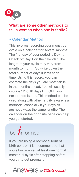

#### What are some other methods to tell a woman when she is fertile?

#### • Calendar Method

This involves recording your menstrual cycle on a calendar for several months. The first day of your period is Day 1. Check off Day 1 on the calendar. The length of your cycle may vary from month to month. So write down the total number of days it lasts each time. Using this record, you can estimate the days you are most fertile in the months ahead. You will usually ovulate 12 to 16 days BEFORE your next period is due. This method can be used along with other fertility awareness methods, especially if your cycles are not always the same length.<sup>6</sup> The calendar on the opposite page can help you get started.

# be  $\hat{I}$ nformed

If you are using a hormonal form of birth control, it is recommended that you allow yourself at least one normal menstrual cycle after stopping before you try to get pregnant.7

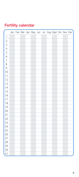| <b>Fertility calendar</b> |  |  |
|---------------------------|--|--|
|                           |  |  |

|                         |  |  |  |  | Jan Feb Mar Apr May Jun Jul Aug Sept Oct Nov Dec |  |  |
|-------------------------|--|--|--|--|--------------------------------------------------|--|--|
| $\mathbf{1}$            |  |  |  |  |                                                  |  |  |
| $\overline{a}$          |  |  |  |  |                                                  |  |  |
| $\overline{\mathbf{3}}$ |  |  |  |  |                                                  |  |  |
| $\overline{4}$          |  |  |  |  |                                                  |  |  |
| $\overline{5}$          |  |  |  |  |                                                  |  |  |
| $\overline{6}$          |  |  |  |  |                                                  |  |  |
| $\overline{7}$          |  |  |  |  |                                                  |  |  |
| 8                       |  |  |  |  |                                                  |  |  |
| 9                       |  |  |  |  |                                                  |  |  |
| 10                      |  |  |  |  |                                                  |  |  |
| 11                      |  |  |  |  |                                                  |  |  |
| 12                      |  |  |  |  |                                                  |  |  |
| 13                      |  |  |  |  |                                                  |  |  |
| 14                      |  |  |  |  |                                                  |  |  |
| 15                      |  |  |  |  |                                                  |  |  |
| 16                      |  |  |  |  |                                                  |  |  |
| 17                      |  |  |  |  |                                                  |  |  |
| 18                      |  |  |  |  |                                                  |  |  |
| 19                      |  |  |  |  |                                                  |  |  |
| 20                      |  |  |  |  |                                                  |  |  |
| 21                      |  |  |  |  |                                                  |  |  |
| 22                      |  |  |  |  |                                                  |  |  |
| 23                      |  |  |  |  |                                                  |  |  |
| 24                      |  |  |  |  |                                                  |  |  |
| 25                      |  |  |  |  |                                                  |  |  |
| 26                      |  |  |  |  |                                                  |  |  |
| 27                      |  |  |  |  |                                                  |  |  |
| 28                      |  |  |  |  |                                                  |  |  |
| 29                      |  |  |  |  |                                                  |  |  |
| 30                      |  |  |  |  |                                                  |  |  |
| 31                      |  |  |  |  |                                                  |  |  |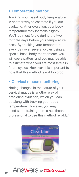#### • Temperature method

Tracking your basal body temperature is another way to estimate if you are ovulating. After ovulation, your body temperature may increase slightly. You'll be most fertile during the two to three days before your temperature rises. By tracking your temperature every day over several cycles using a special basal body thermometer, you will see a pattern and you may be able to estimate when you are most fertile in future cycles. However, it is important to note that this method is not foolproof.

#### • Cervical mucus monitoring

Noting changes in the nature of your cervical mucus is another way of predicting ovulation, which you can do along with tracking your body temperature. However, you may need some training from a healthcare professional to use this method reliably.<sup>6</sup>



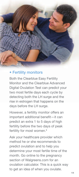

#### • Fertility monitors

Both the Clearblue Easy Fertility Monitor and the Clearblue Advanced Digital Ovulation Test can predict your two most fertile days each cycle by detecting both the LH surge and the rise in estrogen that happens on the days before the LH surge.

However, a fertility monitor offers an important additional benefit-it can predict an extra 1 to 5 days of high fertility before the two days of peak fertility for most women.<sup>8</sup>

Ask your healthcare provider which method he or she recommends to predict ovulation and to help you determine your most fertile time of the month. Go online to the pregnancy section of Walgreens.com for an ovulation calculator. This is a quick way to get an idea of when you ovulate.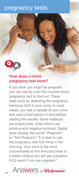### pregnancy tests



#### How does a home pregnancy test work?

If you think you might be pregnant, you can use an over-the-counter home pregnancy test to find out. These tests work by detecting the pregnancy hormone hCG in your urine. In most cases, you test a sample of your urine and wait a brief period of time before reading the results. Some readouts are simple lines, while others use positive and negative symbols. Digital tests display the words "Pregnant" or "Not Pregnant." It is best to use the pregnancy test first thing in the morning. Your urine is the most concentrated at this time and there is a better chance you will get a positive hCG result if you are pregnant.<sup>9</sup>

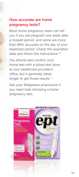#### How accurate are home pregnancy tests?

Most home pregnancy tests can tell you if you are pregnant one week after a missed period, and some are more than 99% accurate on the day of your expected period. Check the expiration date and follow the instructions.<sup>10</sup>

You should also confirm your home test with a blood test done at your healthcare provider's office, but it generally takes longer to get those results.<sup>11</sup>

Ask your Walgreens pharmacist if you need help choosing a home pregnancy test.

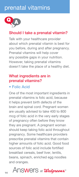## prenatal vitamins



#### Should I take a prenatal vitamin?

Talk with your healthcare provider about which prenatal vitamin is best for you before, during and after pregnancy. Prenatal vitamins will help cover any possible gaps in your nutrition. However, taking prenatal vitamins doesn't take the place of a healthy diet.

#### What ingredients are in prenatal vitamins?

#### • Folic Acid

One of the most important ingredients in prenatal vitamins is folic acid, because it helps prevent birth defects of the brain and spinal cord. Pregnant women are usually advised to take 400 to 800 mcg of folic acid in the very early stages of pregnancy often before they know they are pregnant. A pregnant woman should keep taking folic acid throughout pregnancy. Some healthcare providers prescribe prenatal vitamins that contain higher amounts of folic acid. Good food sources of folic acid include fortified breakfast cereals, beef liver, lentils, beans, spinach, enriched egg noodles and oranges.

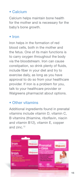#### • Calcium

Calcium helps maintain bone health for the mother and is necessary for the baby's bone growth.

#### • Iron

Iron helps in the formation of red blood cells, both in the mother and the fetus. One of its main functions is to carry oxygen throughout the body via the bloodstream. Iron can cause constipation, so drink plenty of fluids, include fiber in your diet and try to exercise daily, as long as you have approval to do so from your healthcare provider. If iron is a problem for you, talk to your healthcare provider or Walgreens pharmacist about options.

#### • Other vitamins

Additional ingredients found in prenatal vitamins include vitamin D, vitamin C, B vitamins (thiamine, riboflavin, niacin and vitamin B12), vitamin E, copper and zinc.12

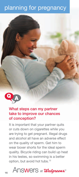## planning for pregnancy



#### What steps can my partner take to improve our chances of conception?

It is important that your partner quits or cuts down on cigarettes while you are trying to get pregnant. Illegal drugs and alcohol all have an adverse effect on the quality of sperm. Get him to wear boxer shorts for the ideal sperm quality. Bicycle riding can build up heat in his testes, so swimming is a better option, but avoid hot tubs.<sup>13</sup>

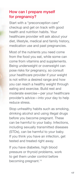#### How can I prepare myself for pregnancy?

Start with a "preconception care" checkup and get on track with good health and nutrition habits. Your healthcare provider will ask about your diet, lifestyle, medical and family history, medication use and past pregnancies.

Most of the nutrients you need come from the food you eat, while some can come from vitamins and supplements. Being underweight or overweight can pose risks for pregnancy, so consult your healthcare provider if your weight is not within a desired range and how you can reach a healthy weight through eating and exercise. Build rest and moderate exercise—per your healthcare provider's advice—into your day to help reduce stress.

Stop unhealthy habits such as smoking, drinking alcohol and using illegal drugs before you become pregnant. These can be harmful to your baby. Infections, including sexually transmitted diseases (STDs), can be harmful to your baby. If you think you have an infection, get tested and treated right away.

If you have diabetes, high blood pressure or thyroid problems, work to get them under control before becoming pregnant.<sup>14</sup>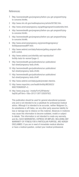#### References:

- 1 http://womenshealth.gov/pregnancy/before-you-get-pregnant/tryingto-conceive.html#a.
- 2 http://www.nlm.nih.gov/medlineplus/ency/article/007062.htm.
- 3 http://www.americanpregnancy.org/gettingpregnant/ovulationkits.html.
- 4 http://womenshealth.gov/pregnancy/before-you-get-pregnant/tryingto-conceive.html#c.
- 5 http://womenshealth.gov/pregnancy/before-you-get-pregnant/tryingto-conceive.html#b.
- 6 http://www.americanpregnancy.org/preventingpregnancy/ fertilityawarenessNFP.html.
- 7 http://www.webmd.com/baby/features/getting-pregnant-afterbirth-control.
- 8 http://www.webmd.com/infertility-and-reproduction/ fertility-tests-for-women?page=3.
- 9 http://womenshealth.gov/publications/our-publications/ fact-sheet/pregnancy-tests.cfm#c.
- 10 http://womenshealth.gov/publications/our-publications/ fact-sheet/pregnancy-tests.cfm#d.
- 11 http://womenshealth.gov/publications/our-publications/ fact-sheet/pregnancy-tests.cfm#f.
- 12 http://www.webmd.com/baby/guide/prenatal-vitamins.
- 13 http://www.mayoclinic.com/health/fertility/MC00023/ NSECTIONGROUP=2..
- 14 http://www.acog.org/~/media/For%20Patients/ faq056.pdf?dmc=1&ts=20121126T1328297922.

This publication should be used for general educational purposes only and is not intended to be a substitute for professional medical advice. Although it is intended to be accurate, neither Walgreen Co., its subsidiaries or affi liates, nor any other party assumes liability for loss or damage due to reliance on this material. Advances in medicine may cause this information to become outdated, invalid or subject to debate. This information is not intended to create any warranty, and ALL SUCH WARRANTIES, EXPRESS OR IMPLIED, INCLUDING ANY WARRANTY OF FITNESS FOR A PARTICULAR PURPOSE, ARE HEREBY DISCLAIMED. If you are in need of immediate medical attention or have a medical question, contact your medical professional.